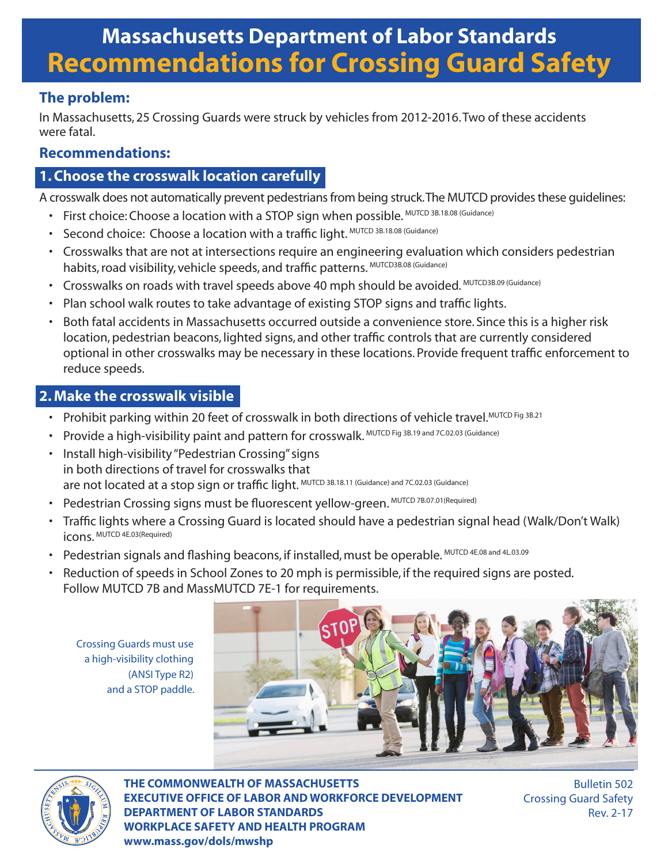# **Massachusetts Department of Labor Standards Recommendations for Crossing Guard Safety**

# **The problem:**

In Massachusetts, 25 Crossing Guards were struck by vehicles from 2012-2016. Two of these accidents were fatal.

# **Recommendations:**

## **1. Choose the crosswalk location carefully**

A crosswalk does not automatically prevent pedestrians from being struck. The MUTCD provides these guidelines:

- First choice: Choose a location with a STOP sign when possible. MUTCD 3B.18.08 (Guidance)
- Second choice: Choose a location with a traffic light. MUTCD 3B.18.08 (Guidance)
- Crosswalks that are not at intersections require an engineering evaluation which considers pedestrian habits, road visibility, vehicle speeds, and traffic patterns. MUTCD3B.08 (Guidance)
- Crosswalks on roads with travel speeds above 40 mph should be avoided. MUTCD3B.09 (Guidance)
- Plan school walk routes to take advantage of existing STOP signs and traffic lights.
- Both fatal accidents in Massachusetts occurred outside a convenience store. Since this is a higher risk location, pedestrian beacons, lighted signs, and other traffic controls that are currently considered optional in other crosswalks may be necessary in these locations. Provide frequent traffic enforcement to reduce speeds.

# **2. Make the crosswalk visible**

- Prohibit parking within 20 feet of crosswalk in both directions of vehicle travel.MUTCD Fig 3B.21
- Provide a high-visibility paint and pattern for crosswalk. MUTCD Fig 3B.19 and 7C.02.03 (Guidance)
- Install high-visibility "Pedestrian Crossing" signs in both directions of travel for crosswalks that are not located at a stop sign or traffic light. MUTCD 3B.18.11 (Guidance) and 7C.02.03 (Guidance)
- Pedestrian Crossing signs must be fluorescent yellow-green. MUTCD 7B.07.01(Required)
- Traffic lights where a Crossing Guard is located should have a pedestrian signal head (Walk/Don't Walk) icons. MUTCD 4E.03(Required)
- Pedestrian signals and flashing beacons, if installed, must be operable. MUTCD 4E.08 and 4L.03.09
- Reduction of speeds in School Zones to 20 mph is permissible, if the required signs are posted. Follow MUTCD 7B and MassMUTCD 7E-1 for requirements.

Crossing Guards must use a high-visibility clothing (ANSI Type R2) and a STOP paddle.





**THE COMMONWEALTH OF MASSACHUSETTS EXECUTIVE OFFICE OF LABOR AND WORKFORCE DEVELOPMENT DEPARTMENT OF LABOR STANDARDS WORKPLACE SAFETY AND HEALTH PROGRAM www.mass.gov/dols/mwshp**

Bulletin 502 Crossing Guard Safety Rev. 2-17